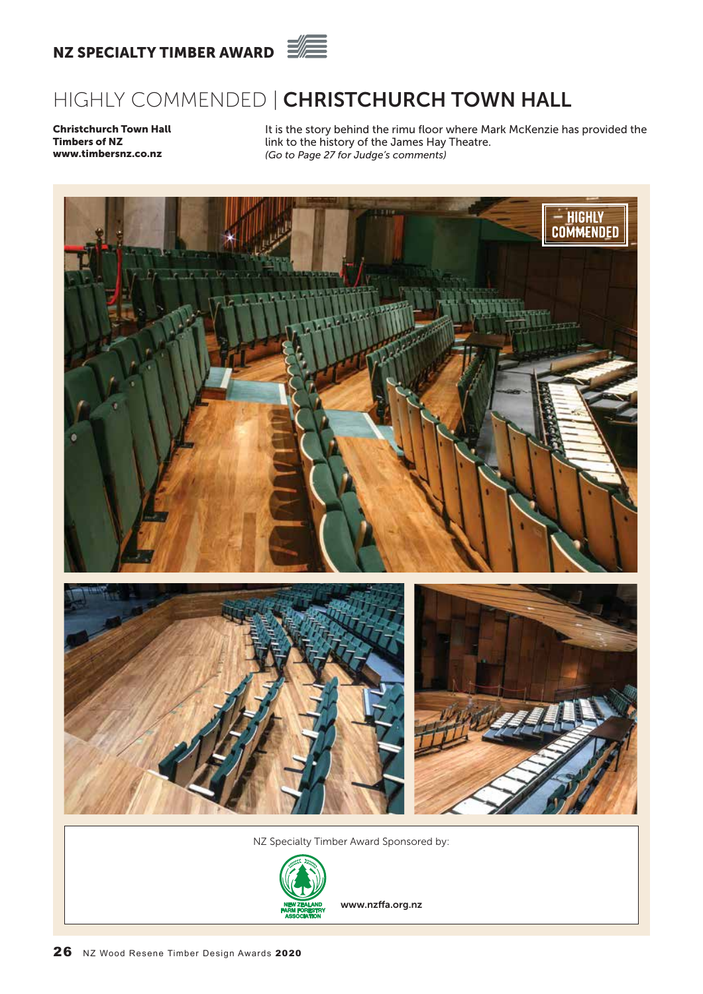

# HIGHLY COMMENDED | CHRISTCHURCH TOWN HALL

Christchurch Town Hall Timbers of NZ www.timbersnz.co.nz

It is the story behind the rimu floor where Mark McKenzie has provided the link to the history of the James Hay Theatre. *(Go to Page 27 for Judge's comments)*



NZ Specialty Timber Award Sponsored by:



www.nzffa.org.nz